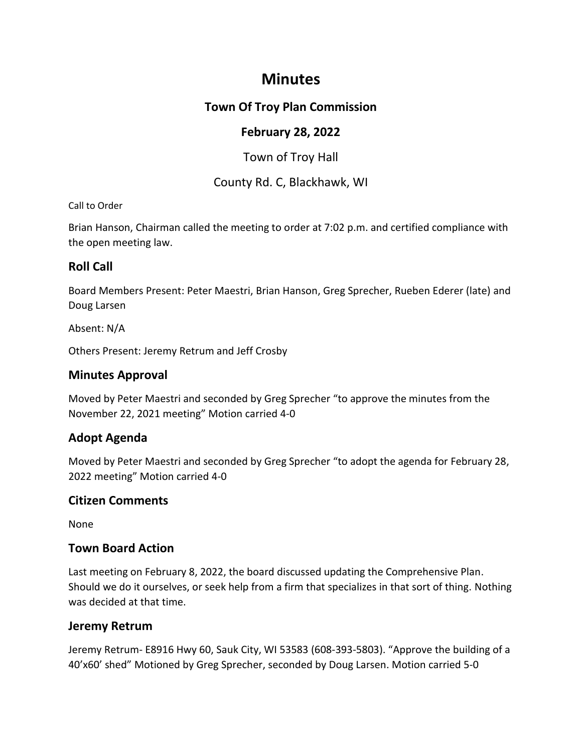# **Minutes**

### **Town Of Troy Plan Commission**

# **February 28, 2022**

Town of Troy Hall

#### County Rd. C, Blackhawk, WI

#### Call to Order

Brian Hanson, Chairman called the meeting to order at 7:02 p.m. and certified compliance with the open meeting law.

# **Roll Call**

Board Members Present: Peter Maestri, Brian Hanson, Greg Sprecher, Rueben Ederer (late) and Doug Larsen

Absent: N/A

Others Present: Jeremy Retrum and Jeff Crosby

### **Minutes Approval**

Moved by Peter Maestri and seconded by Greg Sprecher "to approve the minutes from the November 22, 2021 meeting" Motion carried 4-0

### **Adopt Agenda**

Moved by Peter Maestri and seconded by Greg Sprecher "to adopt the agenda for February 28, 2022 meeting" Motion carried 4-0

### **Citizen Comments**

None

### **Town Board Action**

Last meeting on February 8, 2022, the board discussed updating the Comprehensive Plan. Should we do it ourselves, or seek help from a firm that specializes in that sort of thing. Nothing was decided at that time.

### **Jeremy Retrum**

Jeremy Retrum- E8916 Hwy 60, Sauk City, WI 53583 (608-393-5803). "Approve the building of a 40'x60' shed" Motioned by Greg Sprecher, seconded by Doug Larsen. Motion carried 5-0